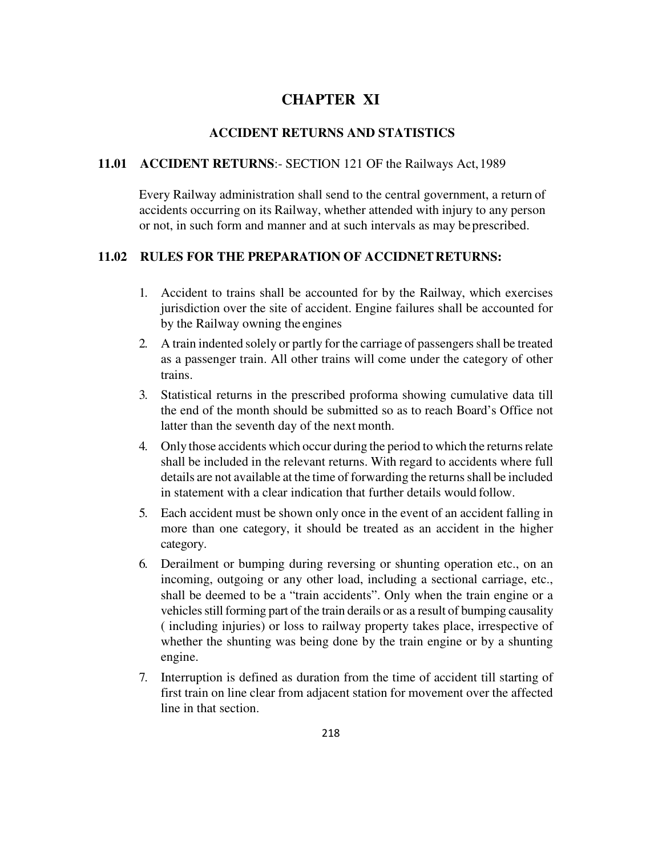# **CHAPTER XI**

# **ACCIDENT RETURNS AND STATISTICS**

#### **11.01 ACCIDENT RETURNS**:- SECTION 121 OF the Railways Act, 1989

Every Railway administration shall send to the central government, a return of accidents occurring on its Railway, whether attended with injury to any person or not, in such form and manner and at such intervals as may be prescribed.

#### **11.02 RULES FOR THE PREPARATION OF ACCIDNET RETURNS:**

- 1. Accident to trains shall be accounted for by the Railway, which exercises jurisdiction over the site of accident. Engine failures shall be accounted for by the Railway owning the engines
- 2. A train indented solely or partly for the carriage of passengers shall be treated as a passenger train. All other trains will come under the category of other trains.
- 3. Statistical returns in the prescribed proforma showing cumulative data till the end of the month should be submitted so as to reach Board's Office not latter than the seventh day of the next month.
- 4. Only those accidents which occur during the period to which the returns relate shall be included in the relevant returns. With regard to accidents where full details are not available at the time of forwarding the returns shall be included in statement with a clear indication that further details would follow.
- 5. Each accident must be shown only once in the event of an accident falling in more than one category, it should be treated as an accident in the higher category.
- 6. Derailment or bumping during reversing or shunting operation etc., on an incoming, outgoing or any other load, including a sectional carriage, etc., shall be deemed to be a "train accidents". Only when the train engine or a vehicles still forming part of the train derails or as a result of bumping causality ( including injuries) or loss to railway property takes place, irrespective of whether the shunting was being done by the train engine or by a shunting engine.
- 7. Interruption is defined as duration from the time of accident till starting of first train on line clear from adjacent station for movement over the affected line in that section.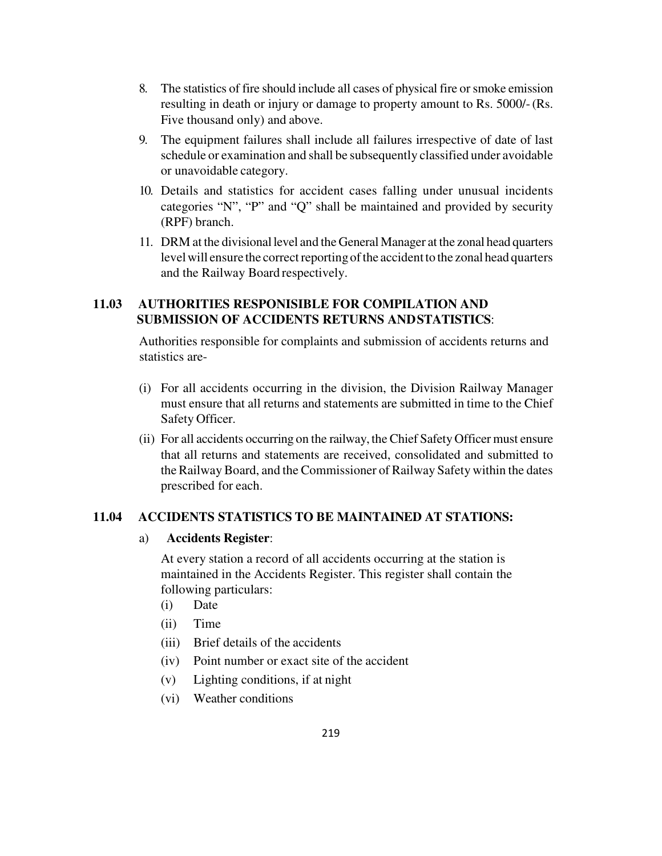- 8. The statistics of fire should include all cases of physical fire or smoke emission resulting in death or injury or damage to property amount to Rs. 5000/- (Rs. Five thousand only) and above.
- 9. The equipment failures shall include all failures irrespective of date of last schedule or examination and shall be subsequently classified under avoidable or unavoidable category.
- 10. Details and statistics for accident cases falling under unusual incidents categories "N", "P" and "Q" shall be maintained and provided by security (RPF) branch.
- 11. DRM at the divisional level and the General Manager at the zonal head quarters level will ensure the correct reporting of the accident to the zonal head quarters and the Railway Board respectively.

# **11.03 AUTHORITIES RESPONISIBLE FOR COMPILATION AND SUBMISSION OF ACCIDENTS RETURNS AND STATISTICS**:

Authorities responsible for complaints and submission of accidents returns and statistics are-

- (i) For all accidents occurring in the division, the Division Railway Manager must ensure that all returns and statements are submitted in time to the Chief Safety Officer.
- (ii) For all accidents occurring on the railway, the Chief Safety Officer must ensure that all returns and statements are received, consolidated and submitted to the Railway Board, and the Commissioner of Railway Safety within the dates prescribed for each.

### **11.04 ACCIDENTS STATISTICS TO BE MAINTAINED AT STATIONS:**

### a) **Accidents Register**:

At every station a record of all accidents occurring at the station is maintained in the Accidents Register. This register shall contain the following particulars:

- (i) Date
- (ii) Time
- (iii) Brief details of the accidents
- (iv) Point number or exact site of the accident
- (v) Lighting conditions, if at night
- (vi) Weather conditions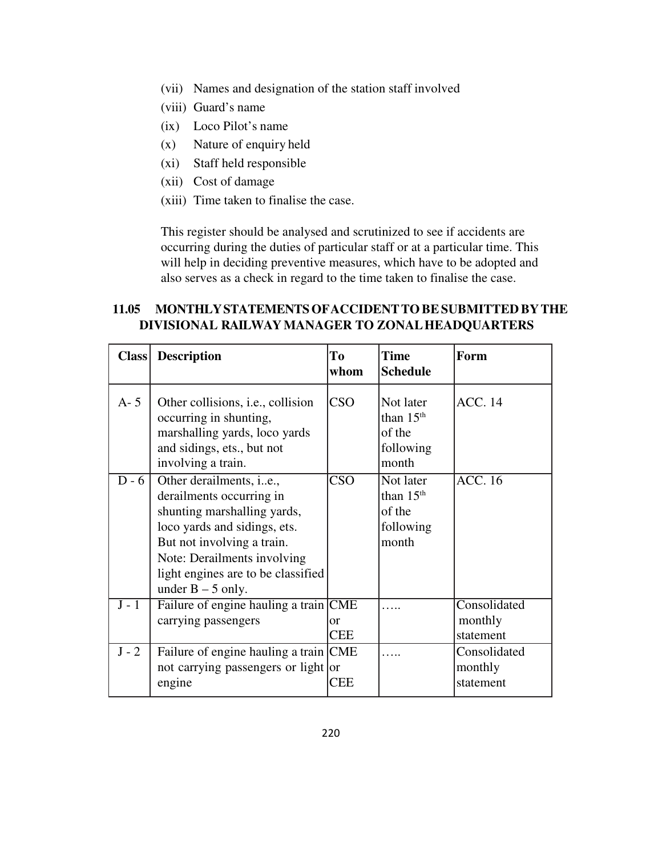- (vii) Names and designation of the station staff involved
- (viii) Guard's name
- (ix) Loco Pilot's name
- (x) Nature of enquiry held
- (xi) Staff held responsible
- (xii) Cost of damage
- (xiii) Time taken to finalise the case.

This register should be analysed and scrutinized to see if accidents are occurring during the duties of particular staff or at a particular time. This will help in deciding preventive measures, which have to be adopted and also serves as a check in regard to the time taken to finalise the case.

### **11.05 MONTHLY STATEMENTS OF ACCIDENT TO BE SUBMITTED BY THE DIVISIONAL RAILWAY MANAGER TO ZONAL HEADQUARTERS**

| <b>Class</b>       | <b>Description</b>                                                                                                                                                                                                                                    | Tо<br>whom               | <b>Time</b><br><b>Schedule</b>                           | Form                                 |
|--------------------|-------------------------------------------------------------------------------------------------------------------------------------------------------------------------------------------------------------------------------------------------------|--------------------------|----------------------------------------------------------|--------------------------------------|
| $A - 5$            | Other collisions, <i>i.e.</i> , collision<br>occurring in shunting,<br>marshalling yards, loco yards<br>and sidings, ets., but not<br>involving a train.                                                                                              | <b>CSO</b>               | Not later<br>than $15th$<br>of the<br>following<br>month | <b>ACC.</b> 14                       |
| $D - 6$            | Other derailments, <i>i.e.</i> ,<br>derailments occurring in<br>shunting marshalling yards,<br>loco yards and sidings, ets.<br>But not involving a train.<br>Note: Derailments involving<br>light engines are to be classified<br>under $B - 5$ only. | <b>CSO</b>               | Not later<br>than $15th$<br>of the<br>following<br>month | <b>ACC.</b> 16                       |
| $\overline{J}$ - 1 | Failure of engine hauling a train CME<br>carrying passengers                                                                                                                                                                                          | $\alpha$ r<br><b>CEE</b> |                                                          | Consolidated<br>monthly<br>statement |
| $J - 2$            | Failure of engine hauling a train CME<br>not carrying passengers or light or<br>engine                                                                                                                                                                | CEE                      |                                                          | Consolidated<br>monthly<br>statement |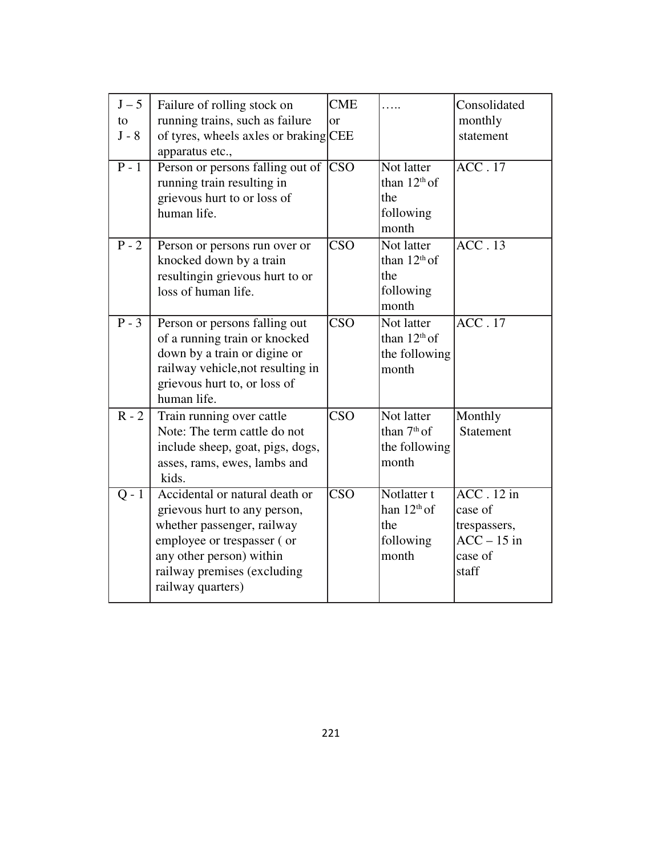| $J-5$<br>to<br>$J - 8$<br>$\overline{P-1}$ | Failure of rolling stock on<br>running trains, such as failure<br>of tyres, wheels axles or braking CEE<br>apparatus etc.,<br>Person or persons falling out of<br>running train resulting in<br>grievous hurt to or loss of<br>human life. | <b>CME</b><br>$\alpha$<br><b>CSO</b> | Not latter<br>than $12th$ of<br>the<br>following<br>month | Consolidated<br>monthly<br>statement<br>$\overline{ACC.17}$                            |
|--------------------------------------------|--------------------------------------------------------------------------------------------------------------------------------------------------------------------------------------------------------------------------------------------|--------------------------------------|-----------------------------------------------------------|----------------------------------------------------------------------------------------|
| $P - 2$                                    | Person or persons run over or<br>knocked down by a train<br>resultingin grievous hurt to or<br>loss of human life.                                                                                                                         | <b>CSO</b>                           | Not latter<br>than $12th$ of<br>the<br>following<br>month | ACC.13                                                                                 |
| $P - 3$                                    | Person or persons falling out<br>of a running train or knocked<br>down by a train or digine or<br>railway vehicle, not resulting in<br>grievous hurt to, or loss of<br>human life.                                                         | $\overline{\text{CSO}}$              | Not latter<br>than $12th$ of<br>the following<br>month    | $\overline{ACC.17}$                                                                    |
| $R - 2$                                    | Train running over cattle<br>Note: The term cattle do not<br>include sheep, goat, pigs, dogs,<br>asses, rams, ewes, lambs and<br>kids.                                                                                                     | CSO                                  | Not latter<br>than $7th$ of<br>the following<br>month     | Monthly<br><b>Statement</b>                                                            |
| $Q - 1$                                    | Accidental or natural death or<br>grievous hurt to any person,<br>whether passenger, railway<br>employee or trespasser (or<br>any other person) within<br>railway premises (excluding<br>railway quarters)                                 | $\overline{\text{CSO}}$              | Notlatter t<br>han $12th$ of<br>the<br>following<br>month | $\overline{ACC}$ . 12 in<br>case of<br>trespassers,<br>$ACC-15$ in<br>case of<br>staff |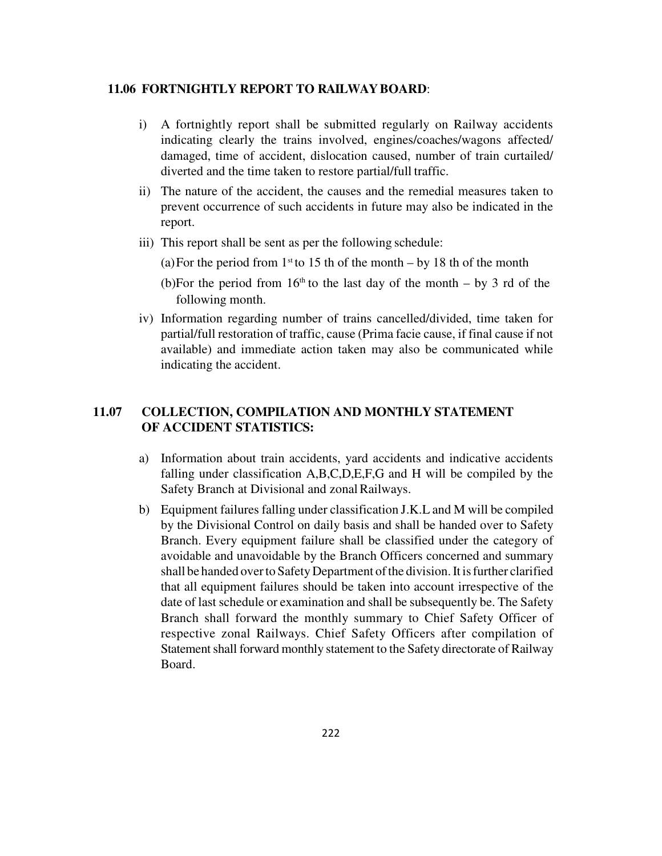#### **11.06 FORTNIGHTLY REPORT TO RAILWAY BOARD**:

- i) A fortnightly report shall be submitted regularly on Railway accidents indicating clearly the trains involved, engines/coaches/wagons affected/ damaged, time of accident, dislocation caused, number of train curtailed/ diverted and the time taken to restore partial/full traffic.
- ii) The nature of the accident, the causes and the remedial measures taken to prevent occurrence of such accidents in future may also be indicated in the report.
- iii) This report shall be sent as per the following schedule:

(a) For the period from  $1<sup>st</sup>$  to 15 th of the month – by 18 th of the month

(b)For the period from  $16<sup>th</sup>$  to the last day of the month – by 3 rd of the following month.

iv) Information regarding number of trains cancelled/divided, time taken for partial/full restoration of traffic, cause (Prima facie cause, if final cause if not available) and immediate action taken may also be communicated while indicating the accident.

# **11.07 COLLECTION, COMPILATION AND MONTHLY STATEMENT OF ACCIDENT STATISTICS:**

- a) Information about train accidents, yard accidents and indicative accidents falling under classification A,B,C,D,E,F,G and H will be compiled by the Safety Branch at Divisional and zonal Railways.
- b) Equipment failures falling under classification J.K.L and M will be compiled by the Divisional Control on daily basis and shall be handed over to Safety Branch. Every equipment failure shall be classified under the category of avoidable and unavoidable by the Branch Officers concerned and summary shall be handed over to Safety Department of the division. It is further clarified that all equipment failures should be taken into account irrespective of the date of last schedule or examination and shall be subsequently be. The Safety Branch shall forward the monthly summary to Chief Safety Officer of respective zonal Railways. Chief Safety Officers after compilation of Statement shall forward monthly statement to the Safety directorate of Railway Board.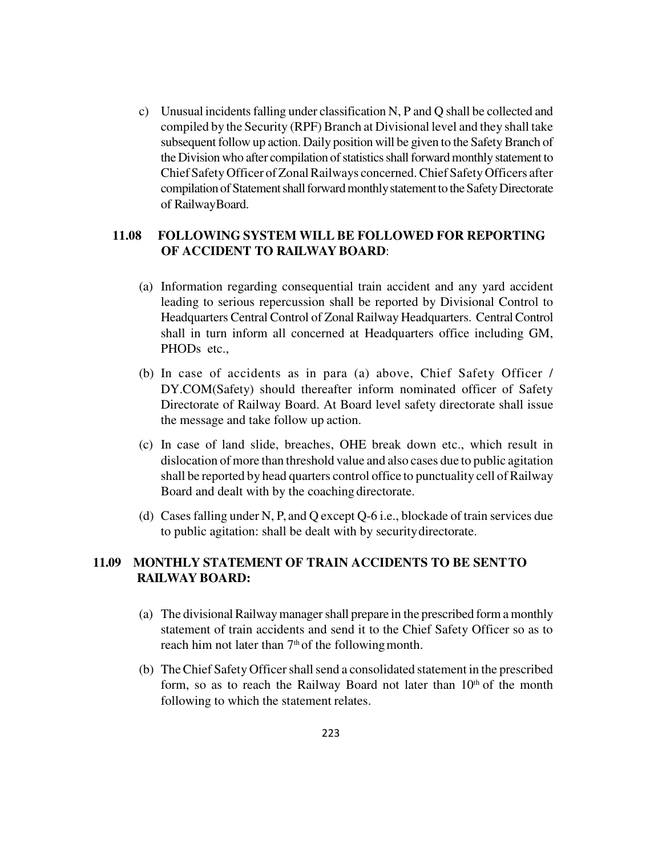c) Unusual incidents falling under classification N, P and Q shall be collected and compiled by the Security (RPF) Branch at Divisional level and they shall take subsequent follow up action. Daily position will be given to the Safety Branch of the Division who after compilation of statistics shall forward monthly statement to Chief Safety Officer of Zonal Railways concerned. Chief Safety Officers after compilation of Statement shall forward monthly statement to the Safety Directorate of Railway Board.

### **11.08 FOLLOWING SYSTEM WILL BE FOLLOWED FOR REPORTING OF ACCIDENT TO RAILWAY BOARD**:

- (a) Information regarding consequential train accident and any yard accident leading to serious repercussion shall be reported by Divisional Control to Headquarters Central Control of Zonal Railway Headquarters. Central Control shall in turn inform all concerned at Headquarters office including GM, PHOD<sub>s</sub> etc.,
- (b) In case of accidents as in para (a) above, Chief Safety Officer / DY.COM(Safety) should thereafter inform nominated officer of Safety Directorate of Railway Board. At Board level safety directorate shall issue the message and take follow up action.
- (c) In case of land slide, breaches, OHE break down etc., which result in dislocation of more than threshold value and also cases due to public agitation shall be reported by head quarters control office to punctuality cell of Railway Board and dealt with by the coaching directorate.
- (d) Cases falling under N, P, and Q except Q-6 i.e., blockade of train services due to public agitation: shall be dealt with by security directorate.

# **11.09 MONTHLY STATEMENT OF TRAIN ACCIDENTS TO BE SENT TO RAILWAY BOARD:**

- (a) The divisional Railway manager shall prepare in the prescribed form a monthly statement of train accidents and send it to the Chief Safety Officer so as to reach him not later than  $7<sup>th</sup>$  of the following month.
- (b) The Chief Safety Officer shall send a consolidated statement in the prescribed form, so as to reach the Railway Board not later than  $10<sup>th</sup>$  of the month following to which the statement relates.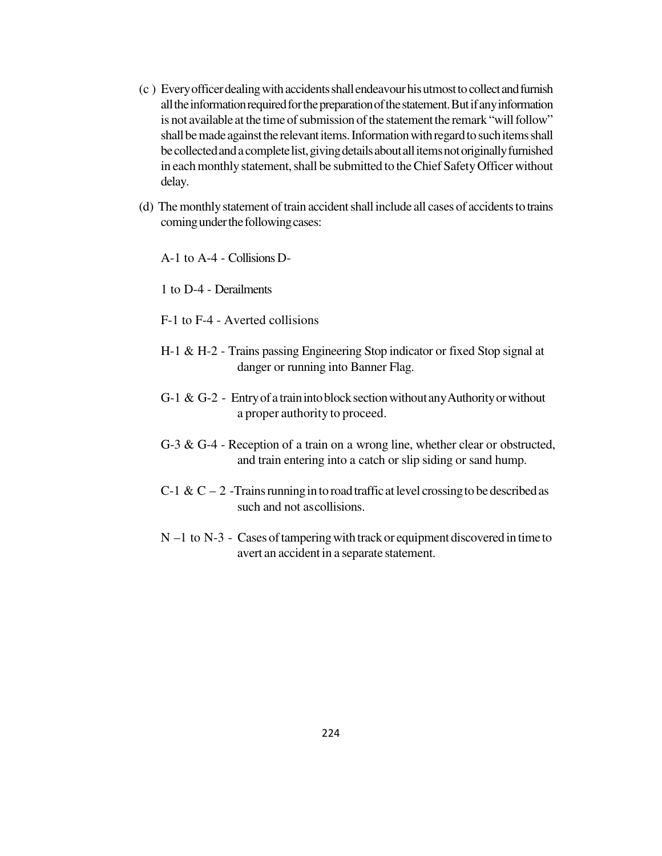- (c ) Every officer dealing with accidents shall endeavour his utmost to collect and furnish all the information required for the preparation of the statement. But if any information is not available at the time of submission of the statement the remark "will follow" shall be made against the relevant items. Information with regard to such items shall be collected and a complete list, giving details about all items not originally furnished in each monthly statement, shall be submitted to the Chief Safety Officer without delay.
- (d) The monthly statement of train accident shall include all cases of accidents to trains coming under the following cases:

A-1 to A-4 - Collisions D-

1 to D-4 - Derailments

- F-1 to F-4 Averted collisions
- H-1 & H-2 Trains passing Engineering Stop indicator or fixed Stop signal at danger or running into Banner Flag.
- G-1  $\&$  G-2 Entry of a train into block section without any Authority or without a proper authority to proceed.
- G-3 & G-4 Reception of a train on a wrong line, whether clear or obstructed, and train entering into a catch or slip siding or sand hump.
- C-1 & C 2 -Trains running in to road traffic at level crossing to be described as such and not as collisions.
- N –1 to N-3 Cases of tampering with track or equipment discovered in time to avert an accident in a separate statement.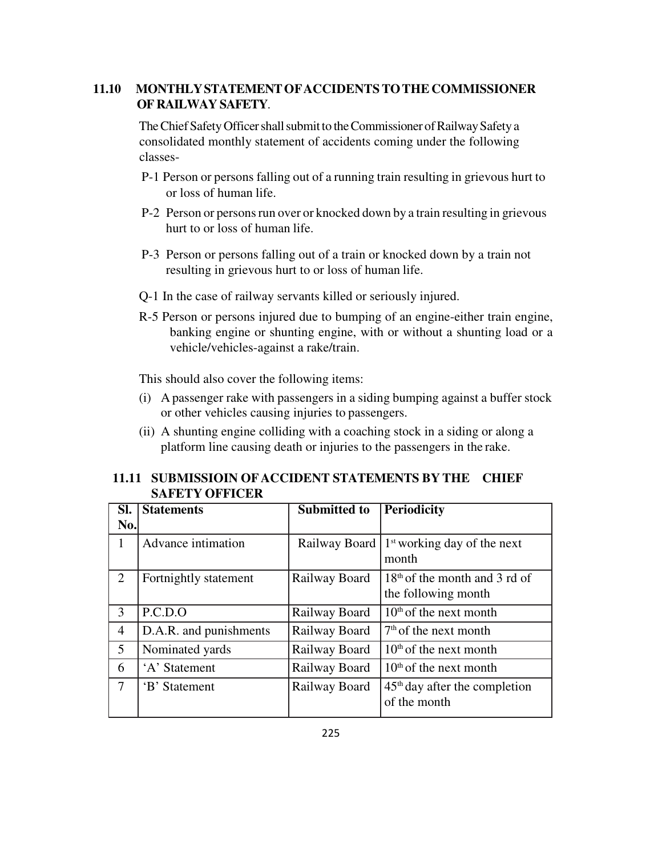# **11.10 MONTHLY STATEMENT OF ACCIDENTS TO THE COMMISSIONER OF RAILWAY SAFETY**.

The Chief Safety Officer shall submit to the Commissioner of Railway Safety a consolidated monthly statement of accidents coming under the following classes-

- P-1 Person or persons falling out of a running train resulting in grievous hurt to or loss of human life.
- P-2 Person or persons run over or knocked down by a train resulting in grievous hurt to or loss of human life.
- P-3 Person or persons falling out of a train or knocked down by a train not resulting in grievous hurt to or loss of human life.
- Q-1 In the case of railway servants killed or seriously injured.
- R-5 Person or persons injured due to bumping of an engine-either train engine, banking engine or shunting engine, with or without a shunting load or a vehicle/vehicles-against a rake/train.

This should also cover the following items:

- (i) A passenger rake with passengers in a siding bumping against a buffer stock or other vehicles causing injuries to passengers.
- (ii) A shunting engine colliding with a coaching stock in a siding or along a platform line causing death or injuries to the passengers in the rake.

## **11.11 SUBMISSIOIN OF ACCIDENT STATEMENTS BY THE CHIEF SAFETY OFFICER**

| SI.            | <b>Statements</b>      | <b>Submitted to</b> | Periodicity                                                      |
|----------------|------------------------|---------------------|------------------------------------------------------------------|
| No.            |                        |                     |                                                                  |
|                | Advance intimation     |                     | Railway Board   1 <sup>st</sup> working day of the next<br>month |
| 2              | Fortnightly statement  | Railway Board       | $18th$ of the month and 3 rd of<br>the following month           |
| 3              | P.C.D.O                | Railway Board       | $10th$ of the next month                                         |
| $\overline{4}$ | D.A.R. and punishments | Railway Board       | $7th$ of the next month                                          |
| 5              | Nominated yards        | Railway Board       | $10th$ of the next month                                         |
| 6              | 'A' Statement          | Railway Board       | $10th$ of the next month                                         |
| $\tau$         | 'B' Statement          | Railway Board       | $45th$ day after the completion<br>of the month                  |